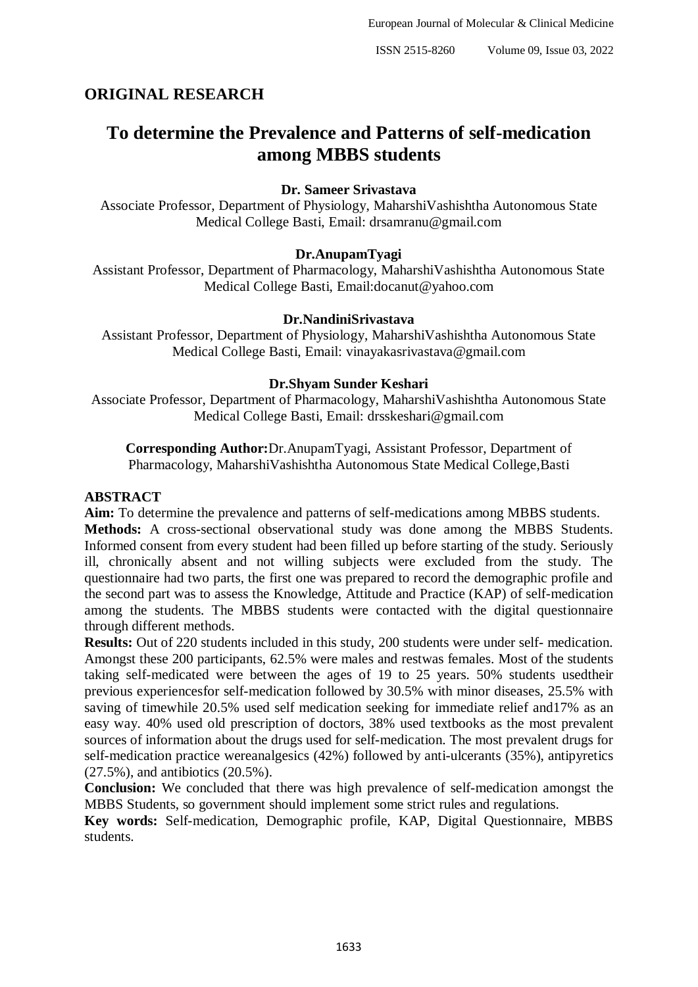# **ORIGINAL RESEARCH**

# **To determine the Prevalence and Patterns of self-medication among MBBS students**

# **Dr. Sameer Srivastava**

Associate Professor, Department of Physiology, MaharshiVashishtha Autonomous State Medical College Basti, Email: drsamranu@gmail.com

#### **Dr.AnupamTyagi**

Assistant Professor, Department of Pharmacology, MaharshiVashishtha Autonomous State Medical College Basti, Email:docanut@yahoo.com

#### **Dr.NandiniSrivastava**

Assistant Professor, Department of Physiology, MaharshiVashishtha Autonomous State Medical College Basti, Email: vinayakasrivastava@gmail.com

#### **Dr.Shyam Sunder Keshari**

Associate Professor, Department of Pharmacology, MaharshiVashishtha Autonomous State Medical College Basti, Email: drsskeshari@gmail.com

**Corresponding Author:**Dr.AnupamTyagi, Assistant Professor, Department of Pharmacology, MaharshiVashishtha Autonomous State Medical College,Basti

#### **ABSTRACT**

**Aim:** To determine the prevalence and patterns of self-medications among MBBS students. **Methods:** A cross-sectional observational study was done among the MBBS Students. Informed consent from every student had been filled up before starting of the study. Seriously ill, chronically absent and not willing subjects were excluded from the study. The questionnaire had two parts, the first one was prepared to record the demographic profile and the second part was to assess the Knowledge, Attitude and Practice (KAP) of self-medication among the students. The MBBS students were contacted with the digital questionnaire through different methods.

**Results:** Out of 220 students included in this study, 200 students were under self- medication. Amongst these 200 participants, 62.5% were males and restwas females. Most of the students taking self-medicated were between the ages of 19 to 25 years. 50% students usedtheir previous experiencesfor self-medication followed by 30.5% with minor diseases, 25.5% with saving of timewhile 20.5% used self medication seeking for immediate relief and17% as an easy way. 40% used old prescription of doctors, 38% used textbooks as the most prevalent sources of information about the drugs used for self-medication. The most prevalent drugs for self-medication practice wereanalgesics (42%) followed by anti-ulcerants (35%), antipyretics (27.5%), and antibiotics (20.5%).

**Conclusion:** We concluded that there was high prevalence of self-medication amongst the MBBS Students, so government should implement some strict rules and regulations.

**Key words:** Self-medication, Demographic profile, KAP, Digital Questionnaire, MBBS students.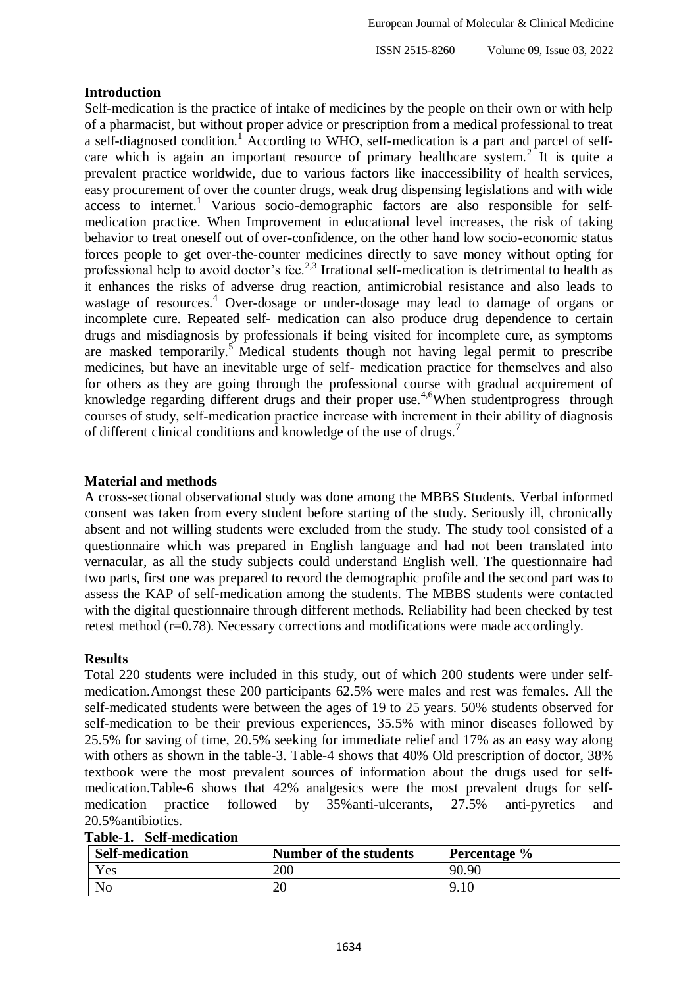ISSN 2515-8260 Volume 09, Issue 03, 2022

# **Introduction**

Self-medication is the practice of intake of medicines by the people on their own or with help of a pharmacist, but without proper advice or prescription from a medical professional to treat a self-diagnosed condition.<sup>1</sup> According to WHO, self-medication is a part and parcel of selfcare which is again an important resource of primary healthcare system.<sup>2</sup> It is quite a prevalent practice worldwide, due to various factors like inaccessibility of health services, easy procurement of over the counter drugs, weak drug dispensing legislations and with wide access to internet.<sup>1</sup> Various socio-demographic factors are also responsible for selfmedication practice. When Improvement in educational level increases, the risk of taking behavior to treat oneself out of over-confidence, on the other hand low socio-economic status forces people to get over-the-counter medicines directly to save money without opting for professional help to avoid doctor's fee.<sup>2,3</sup> Irrational self-medication is detrimental to health as it enhances the risks of adverse drug reaction, antimicrobial resistance and also leads to wastage of resources.<sup>4</sup> Over-dosage or under-dosage may lead to damage of organs or incomplete cure. Repeated self- medication can also produce drug dependence to certain drugs and misdiagnosis by professionals if being visited for incomplete cure, as symptoms are masked temporarily.<sup>5</sup> Medical students though not having legal permit to prescribe medicines, but have an inevitable urge of self- medication practice for themselves and also for others as they are going through the professional course with gradual acquirement of knowledge regarding different drugs and their proper use.<sup>4,6</sup>When studentprogress through courses of study, self-medication practice increase with increment in their ability of diagnosis of different clinical conditions and knowledge of the use of drugs.<sup>7</sup>

# **Material and methods**

A cross-sectional observational study was done among the MBBS Students. Verbal informed consent was taken from every student before starting of the study. Seriously ill, chronically absent and not willing students were excluded from the study. The study tool consisted of a questionnaire which was prepared in English language and had not been translated into vernacular, as all the study subjects could understand English well. The questionnaire had two parts, first one was prepared to record the demographic profile and the second part was to assess the KAP of self-medication among the students. The MBBS students were contacted with the digital questionnaire through different methods. Reliability had been checked by test retest method (r=0.78). Necessary corrections and modifications were made accordingly.

# **Results**

Total 220 students were included in this study, out of which 200 students were under selfmedication.Amongst these 200 participants 62.5% were males and rest was females. All the self-medicated students were between the ages of 19 to 25 years. 50% students observed for self-medication to be their previous experiences, 35.5% with minor diseases followed by 25.5% for saving of time, 20.5% seeking for immediate relief and 17% as an easy way along with others as shown in the table-3. Table-4 shows that 40% Old prescription of doctor, 38% textbook were the most prevalent sources of information about the drugs used for selfmedication.Table-6 shows that 42% analgesics were the most prevalent drugs for selfmedication practice followed by 35%anti-ulcerants, 27.5% anti-pyretics and 20.5%antibiotics.

| <b>Self-medication</b> | Number of the students | Percentage % |
|------------------------|------------------------|--------------|
| Yes                    | 200                    | 90.90        |
| No                     | 20                     | $2.10^{-1}$  |

# **Table-1. Self-medication**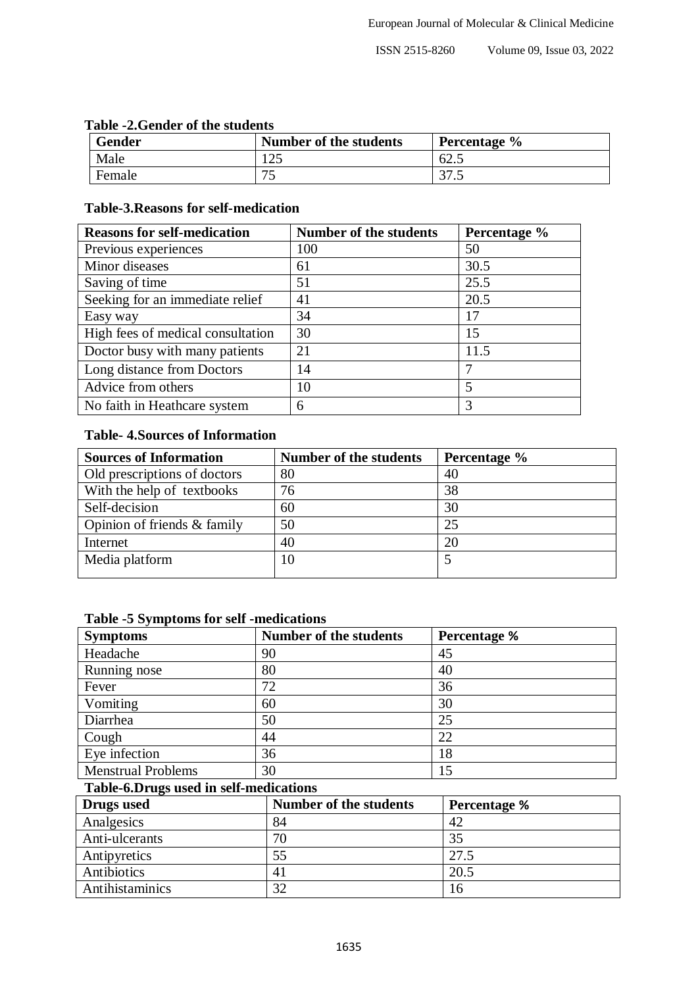|  |  | Table -2. Gender of the students |
|--|--|----------------------------------|
|--|--|----------------------------------|

| Gender | Number of the students   | Percentage % |
|--------|--------------------------|--------------|
| Male   | $\cap \subset$<br>ن کے 1 | 62.          |
| Female | ັ                        | っっ<br>ن. ا د |

# **Table-3.Reasons for self-medication**

| <b>Reasons for self-medication</b> | <b>Number of the students</b> | Percentage % |
|------------------------------------|-------------------------------|--------------|
| Previous experiences               | 100                           | 50           |
| Minor diseases                     | 61                            | 30.5         |
| Saving of time                     | 51                            | 25.5         |
| Seeking for an immediate relief    | 41                            | 20.5         |
| Easy way                           | 34                            | 17           |
| High fees of medical consultation  | 30                            | 15           |
| Doctor busy with many patients     | 21                            | 11.5         |
| Long distance from Doctors         | 14                            | 7            |
| Advice from others                 | 10                            | 5            |
| No faith in Heathcare system       | 6                             | 3            |

# **Table- 4.Sources of Information**

| <b>Sources of Information</b> | <b>Number of the students</b> | Percentage % |
|-------------------------------|-------------------------------|--------------|
| Old prescriptions of doctors  | 80                            | 40           |
| With the help of textbooks    | 76                            | 38           |
| Self-decision                 | 60                            | 30           |
| Opinion of friends & family   | 50                            | 25           |
| Internet                      | 40                            | 20           |
| Media platform                | 10                            |              |

### **Table -5 Symptoms for self -medications**

| <b>Symptoms</b>           | <b>Number of the students</b> | <b>Percentage %</b> |
|---------------------------|-------------------------------|---------------------|
| Headache                  | 90                            | 45                  |
| Running nose              | 80                            | 40                  |
| Fever                     | 72                            | 36                  |
| Vomiting                  | 60                            | 30                  |
| Diarrhea                  | 50                            | 25                  |
| Cough                     | 44                            | 22                  |
| Eye infection             | 36                            | 18                  |
| <b>Menstrual Problems</b> | 30                            | 15                  |

# **Table-6.Drugs used in self-medications**

| Drugs used      | <b>Number of the students</b> | <b>Percentage %</b> |
|-----------------|-------------------------------|---------------------|
| Analgesics      | 84                            | 42                  |
| Anti-ulcerants  | 70                            | 35                  |
| Antipyretics    | 55                            | 27.5                |
| Antibiotics     | 41                            | 20.5                |
| Antihistaminics | 32                            | 16                  |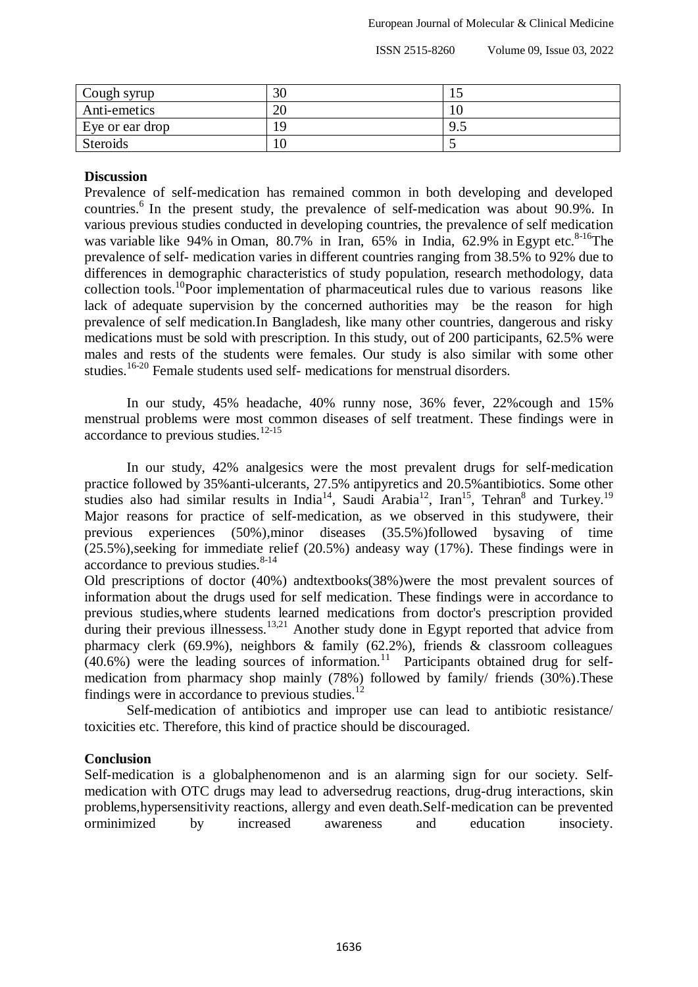ISSN 2515-8260 Volume 09, Issue 03, 2022

| Cough syrup     | 3U | ⊥⊃  |
|-----------------|----|-----|
| Anti-emetics    | ∠∪ | 10  |
| Eye or ear drop |    | 9.5 |
| Steroids        | ιv |     |

### **Discussion**

Prevalence of self-medication has remained common in both developing and developed countries.<sup>6</sup> In the present study, the prevalence of self-medication was about 90.9%. In various previous studies conducted in developing countries, the prevalence of self medication was variable like 94% in Oman, 80.7% in Iran, 65% in India, 62.9% in Egypt etc.<sup>8-16</sup>The prevalence of self- medication varies in different countries ranging from 38.5% to 92% due to differences in demographic characteristics of study population, research methodology, data collection tools.<sup>10</sup>Poor implementation of pharmaceutical rules due to various reasons like lack of adequate supervision by the concerned authorities may be the reason for high prevalence of self medication.In Bangladesh, like many other countries, dangerous and risky medications must be sold with prescription. In this study, out of 200 participants, 62.5% were males and rests of the students were females. Our study is also similar with some other studies.<sup>16-20</sup> Female students used self- medications for menstrual disorders.

In our study, 45% headache, 40% runny nose, 36% fever, 22%cough and 15% menstrual problems were most common diseases of self treatment. These findings were in accordance to previous studies.12-15

In our study, 42% analgesics were the most prevalent drugs for self-medication practice followed by 35%anti-ulcerants, 27.5% antipyretics and 20.5%antibiotics. Some other studies also had similar results in India<sup>14</sup>, Saudi Arabia<sup>12</sup>, Iran<sup>15</sup>, Tehran<sup>8</sup> and Turkey.<sup>19</sup> Major reasons for practice of self-medication, as we observed in this studywere, their previous experiences (50%),minor diseases (35.5%)followed bysaving of time (25.5%),seeking for immediate relief (20.5%) andeasy way (17%). These findings were in accordance to previous studies. $8-14$ 

Old prescriptions of doctor (40%) andtextbooks(38%)were the most prevalent sources of information about the drugs used for self medication. These findings were in accordance to previous studies,where students learned medications from doctor's prescription provided during their previous illnessess.<sup>13,21</sup> Another study done in Egypt reported that advice from pharmacy clerk (69.9%), neighbors & family (62.2%), friends & classroom colleagues  $(40.6%)$  were the leading sources of information.<sup>11</sup> Participants obtained drug for selfmedication from pharmacy shop mainly (78%) followed by family/ friends (30%).These findings were in accordance to previous studies.<sup>12</sup>

Self-medication of antibiotics and improper use can lead to antibiotic resistance/ toxicities etc. Therefore, this kind of practice should be discouraged.

# **Conclusion**

Self-medication is a globalphenomenon and is an alarming sign for our society. Selfmedication with OTC drugs may lead to adversedrug reactions, drug-drug interactions, skin problems,hypersensitivity reactions, allergy and even death.Self-medication can be prevented orminimized by increased awareness and education insociety.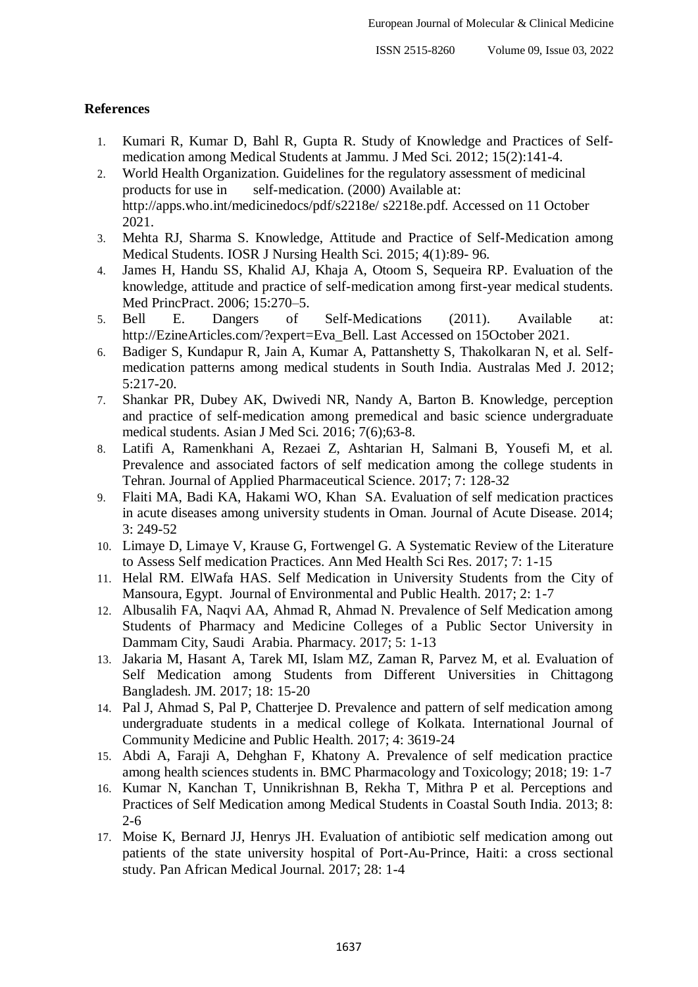## **References**

- 1. Kumari R, Kumar D, Bahl R, Gupta R. Study of Knowledge and Practices of Selfmedication among Medical Students at Jammu. J Med Sci. 2012; 15(2):141-4.
- 2. World Health Organization. Guidelines for the regulatory assessment of medicinal products for use in self-medication. (2000) Available at: <http://apps.who.int/medicinedocs/pdf/s2218e/> s2218e.pdf. Accessed on 11 October 2021.
- 3. Mehta RJ, Sharma S. Knowledge, Attitude and Practice of Self-Medication among Medical Students. IOSR J Nursing Health Sci. 2015; 4(1):89- 96.
- 4. James H, Handu SS, Khalid AJ, Khaja A, Otoom S, Sequeira RP. Evaluation of the knowledge, attitude and practice of self-medication among first-year medical students. Med PrincPract. 2006; 15:270–5.
- 5. Bell E. Dangers of Self-Medications (2011). Available at: [http://EzineArticles.com/?expert=E](http://ezinearticles.com/?expert)va\_Bell. Last Accessed on 15October 2021.
- 6. Badiger S, Kundapur R, Jain A, Kumar A, Pattanshetty S, Thakolkaran N, et al. Selfmedication patterns among medical students in South India. Australas Med J. 2012; 5:217-20.
- 7. Shankar PR, Dubey AK, Dwivedi NR, Nandy A, Barton B. Knowledge, perception and practice of self-medication among premedical and basic science undergraduate medical students. Asian J Med Sci. 2016; 7(6);63-8.
- 8. Latifi A, Ramenkhani A, Rezaei Z, Ashtarian H, Salmani B, Yousefi M, et al. Prevalence and associated factors of self medication among the college students in Tehran. Journal of Applied Pharmaceutical Science. 2017; 7: 128-32
- 9. Flaiti MA, Badi KA, Hakami WO, Khan SA. Evaluation of self medication practices in acute diseases among university students in Oman. Journal of Acute Disease. 2014; 3: 249-52
- 10. Limaye D, Limaye V, Krause G, Fortwengel G. A Systematic Review of the Literature to Assess Self medication Practices. Ann Med Health Sci Res. 2017; 7: 1-15
- 11. Helal RM. ElWafa HAS. Self Medication in University Students from the City of Mansoura, Egypt. Journal of Environmental and Public Health. 2017; 2: 1-7
- 12. Albusalih FA, Naqvi AA, Ahmad R, Ahmad N. Prevalence of Self Medication among Students of Pharmacy and Medicine Colleges of a Public Sector University in Dammam City, Saudi Arabia. Pharmacy. 2017; 5: 1-13
- 13. Jakaria M, Hasant A, Tarek MI, Islam MZ, Zaman R, Parvez M, et al. Evaluation of Self Medication among Students from Different Universities in Chittagong Bangladesh. JM. 2017; 18: 15-20
- 14. Pal J, Ahmad S, Pal P, Chatterjee D. Prevalence and pattern of self medication among undergraduate students in a medical college of Kolkata. International Journal of Community Medicine and Public Health. 2017; 4: 3619-24
- 15. Abdi A, Faraji A, Dehghan F, Khatony A. Prevalence of self medication practice among health sciences students in. BMC Pharmacology and Toxicology; 2018; 19: 1-7
- 16. Kumar N, Kanchan T, Unnikrishnan B, Rekha T, Mithra P et al. Perceptions and Practices of Self Medication among Medical Students in Coastal South India. 2013; 8: 2-6
- 17. Moise K, Bernard JJ, Henrys JH. Evaluation of antibiotic self medication among out patients of the state university hospital of Port-Au-Prince, Haiti: a cross sectional study. Pan African Medical Journal. 2017; 28: 1-4